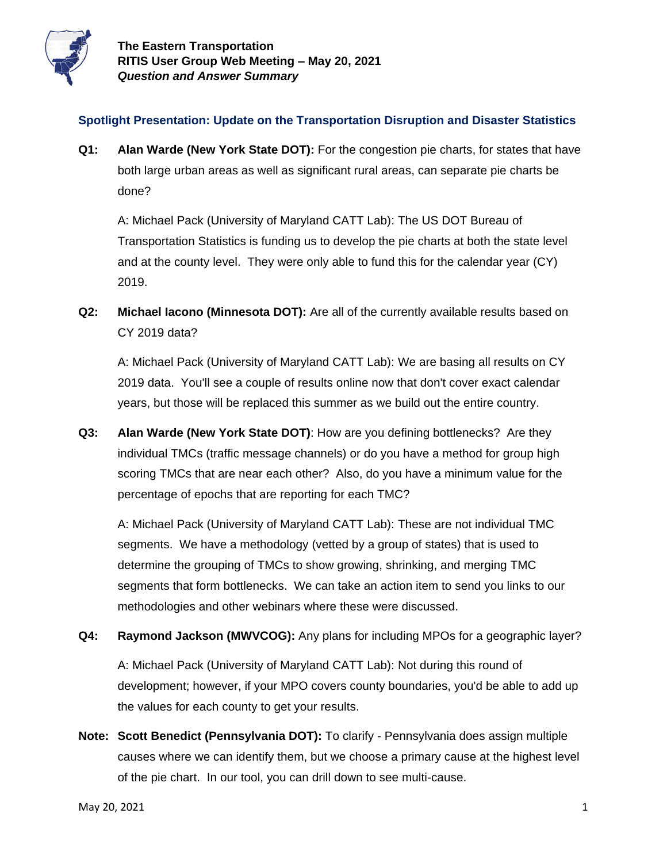

## **Spotlight Presentation: Update on the Transportation Disruption and Disaster Statistics**

**Q1: Alan Warde (New York State DOT):** For the congestion pie charts, for states that have both large urban areas as well as significant rural areas, can separate pie charts be done?

A: Michael Pack (University of Maryland CATT Lab): The US DOT Bureau of Transportation Statistics is funding us to develop the pie charts at both the state level and at the county level. They were only able to fund this for the calendar year (CY) 2019.

**Q2: Michael Iacono (Minnesota DOT):** Are all of the currently available results based on CY 2019 data?

A: Michael Pack (University of Maryland CATT Lab): We are basing all results on CY 2019 data. You'll see a couple of results online now that don't cover exact calendar years, but those will be replaced this summer as we build out the entire country.

**Q3: Alan Warde (New York State DOT)**: How are you defining bottlenecks? Are they individual TMCs (traffic message channels) or do you have a method for group high scoring TMCs that are near each other? Also, do you have a minimum value for the percentage of epochs that are reporting for each TMC?

A: Michael Pack (University of Maryland CATT Lab): These are not individual TMC segments. We have a methodology (vetted by a group of states) that is used to determine the grouping of TMCs to show growing, shrinking, and merging TMC segments that form bottlenecks. We can take an action item to send you links to our methodologies and other webinars where these were discussed.

**Q4: Raymond Jackson (MWVCOG):** Any plans for including MPOs for a geographic layer?

A: Michael Pack (University of Maryland CATT Lab): Not during this round of development; however, if your MPO covers county boundaries, you'd be able to add up the values for each county to get your results.

**Note: Scott Benedict (Pennsylvania DOT):** To clarify - Pennsylvania does assign multiple causes where we can identify them, but we choose a primary cause at the highest level of the pie chart. In our tool, you can drill down to see multi-cause.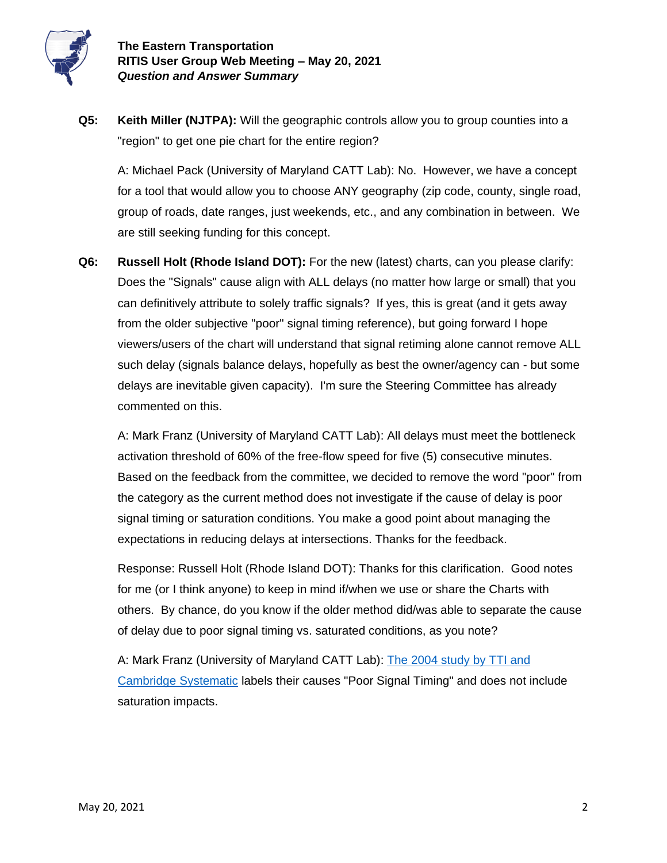

**Q5: Keith Miller (NJTPA):** Will the geographic controls allow you to group counties into a "region" to get one pie chart for the entire region?

A: Michael Pack (University of Maryland CATT Lab): No. However, we have a concept for a tool that would allow you to choose ANY geography (zip code, county, single road, group of roads, date ranges, just weekends, etc., and any combination in between. We are still seeking funding for this concept.

**Q6: Russell Holt (Rhode Island DOT):** For the new (latest) charts, can you please clarify: Does the "Signals" cause align with ALL delays (no matter how large or small) that you can definitively attribute to solely traffic signals? If yes, this is great (and it gets away from the older subjective "poor" signal timing reference), but going forward I hope viewers/users of the chart will understand that signal retiming alone cannot remove ALL such delay (signals balance delays, hopefully as best the owner/agency can - but some delays are inevitable given capacity). I'm sure the Steering Committee has already commented on this.

A: Mark Franz (University of Maryland CATT Lab): All delays must meet the bottleneck activation threshold of 60% of the free-flow speed for five (5) consecutive minutes. Based on the feedback from the committee, we decided to remove the word "poor" from the category as the current method does not investigate if the cause of delay is poor signal timing or saturation conditions. You make a good point about managing the expectations in reducing delays at intersections. Thanks for the feedback.

Response: Russell Holt (Rhode Island DOT): Thanks for this clarification. Good notes for me (or I think anyone) to keep in mind if/when we use or share the Charts with others. By chance, do you know if the older method did/was able to separate the cause of delay due to poor signal timing vs. saturated conditions, as you note?

A: Mark Franz (University of Maryland CATT Lab): [The 2004 study by TTI and](https://ops.fhwa.dot.gov/congestion_report_04/congestion_report.pdf)  [Cambridge Systematic](https://ops.fhwa.dot.gov/congestion_report_04/congestion_report.pdf) labels their causes "Poor Signal Timing" and does not include saturation impacts.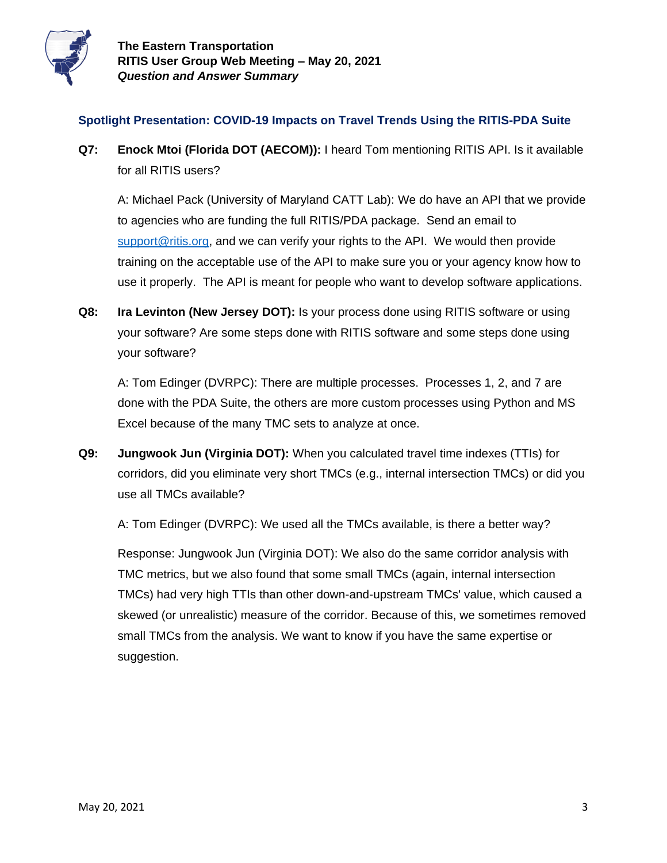

## **Spotlight Presentation: COVID-19 Impacts on Travel Trends Using the RITIS-PDA Suite**

**Q7: Enock Mtoi (Florida DOT (AECOM)):** I heard Tom mentioning RITIS API. Is it available for all RITIS users?

A: Michael Pack (University of Maryland CATT Lab): We do have an API that we provide to agencies who are funding the full RITIS/PDA package. Send an email to [support@ritis.org,](mailto:support@ritis.org) and we can verify your rights to the API. We would then provide training on the acceptable use of the API to make sure you or your agency know how to use it properly. The API is meant for people who want to develop software applications.

**Q8: Ira Levinton (New Jersey DOT):** Is your process done using RITIS software or using your software? Are some steps done with RITIS software and some steps done using your software?

A: Tom Edinger (DVRPC): There are multiple processes. Processes 1, 2, and 7 are done with the PDA Suite, the others are more custom processes using Python and MS Excel because of the many TMC sets to analyze at once.

**Q9: Jungwook Jun (Virginia DOT):** When you calculated travel time indexes (TTIs) for corridors, did you eliminate very short TMCs (e.g., internal intersection TMCs) or did you use all TMCs available?

A: Tom Edinger (DVRPC): We used all the TMCs available, is there a better way?

Response: Jungwook Jun (Virginia DOT): We also do the same corridor analysis with TMC metrics, but we also found that some small TMCs (again, internal intersection TMCs) had very high TTIs than other down-and-upstream TMCs' value, which caused a skewed (or unrealistic) measure of the corridor. Because of this, we sometimes removed small TMCs from the analysis. We want to know if you have the same expertise or suggestion.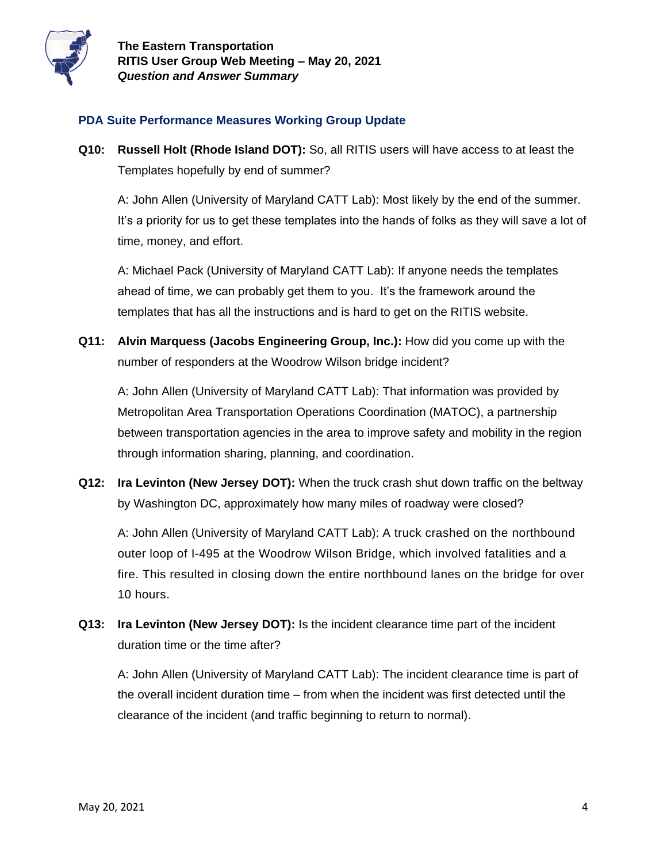

## **PDA Suite Performance Measures Working Group Update**

**Q10: Russell Holt (Rhode Island DOT):** So, all RITIS users will have access to at least the Templates hopefully by end of summer?

A: John Allen (University of Maryland CATT Lab): Most likely by the end of the summer. It's a priority for us to get these templates into the hands of folks as they will save a lot of time, money, and effort.

A: Michael Pack (University of Maryland CATT Lab): If anyone needs the templates ahead of time, we can probably get them to you. It's the framework around the templates that has all the instructions and is hard to get on the RITIS website.

**Q11: Alvin Marquess (Jacobs Engineering Group, Inc.):** How did you come up with the number of responders at the Woodrow Wilson bridge incident?

A: John Allen (University of Maryland CATT Lab): That information was provided by Metropolitan Area Transportation Operations Coordination (MATOC), a partnership between transportation agencies in the area to improve safety and mobility in the region through information sharing, planning, and coordination.

**Q12: Ira Levinton (New Jersey DOT):** When the truck crash shut down traffic on the beltway by Washington DC, approximately how many miles of roadway were closed?

A: John Allen (University of Maryland CATT Lab): A truck crashed on the northbound outer loop of I-495 at the Woodrow Wilson Bridge, which involved fatalities and a fire. This resulted in closing down the entire northbound lanes on the bridge for over 10 hours.

**Q13: Ira Levinton (New Jersey DOT):** Is the incident clearance time part of the incident duration time or the time after?

A: John Allen (University of Maryland CATT Lab): The incident clearance time is part of the overall incident duration time – from when the incident was first detected until the clearance of the incident (and traffic beginning to return to normal).